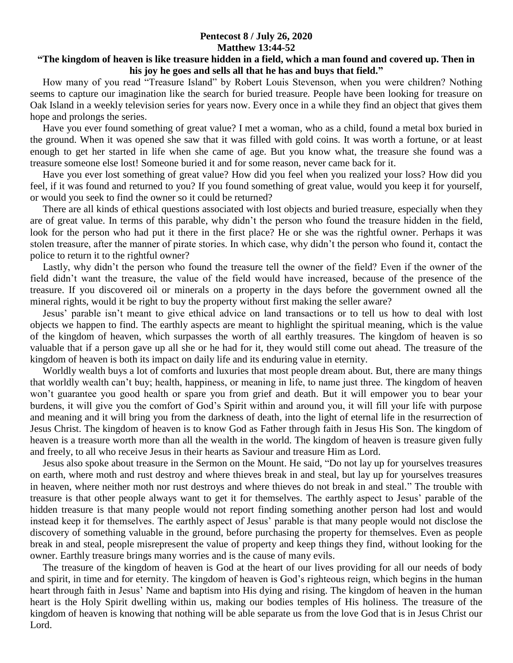## **Pentecost 8 / July 26, 2020 Matthew 13:44-52**

## **"The kingdom of heaven is like treasure hidden in a field, which a man found and covered up. Then in his joy he goes and sells all that he has and buys that field."**

 How many of you read "Treasure Island" by Robert Louis Stevenson, when you were children? Nothing seems to capture our imagination like the search for buried treasure. People have been looking for treasure on Oak Island in a weekly television series for years now. Every once in a while they find an object that gives them hope and prolongs the series.

 Have you ever found something of great value? I met a woman, who as a child, found a metal box buried in the ground. When it was opened she saw that it was filled with gold coins. It was worth a fortune, or at least enough to get her started in life when she came of age. But you know what, the treasure she found was a treasure someone else lost! Someone buried it and for some reason, never came back for it.

 Have you ever lost something of great value? How did you feel when you realized your loss? How did you feel, if it was found and returned to you? If you found something of great value, would you keep it for yourself, or would you seek to find the owner so it could be returned?

 There are all kinds of ethical questions associated with lost objects and buried treasure, especially when they are of great value. In terms of this parable, why didn't the person who found the treasure hidden in the field, look for the person who had put it there in the first place? He or she was the rightful owner. Perhaps it was stolen treasure, after the manner of pirate stories. In which case, why didn't the person who found it, contact the police to return it to the rightful owner?

 Lastly, why didn't the person who found the treasure tell the owner of the field? Even if the owner of the field didn't want the treasure, the value of the field would have increased, because of the presence of the treasure. If you discovered oil or minerals on a property in the days before the government owned all the mineral rights, would it be right to buy the property without first making the seller aware?

 Jesus' parable isn't meant to give ethical advice on land transactions or to tell us how to deal with lost objects we happen to find. The earthly aspects are meant to highlight the spiritual meaning, which is the value of the kingdom of heaven, which surpasses the worth of all earthly treasures. The kingdom of heaven is so valuable that if a person gave up all she or he had for it, they would still come out ahead. The treasure of the kingdom of heaven is both its impact on daily life and its enduring value in eternity.

 Worldly wealth buys a lot of comforts and luxuries that most people dream about. But, there are many things that worldly wealth can't buy; health, happiness, or meaning in life, to name just three. The kingdom of heaven won't guarantee you good health or spare you from grief and death. But it will empower you to bear your burdens, it will give you the comfort of God's Spirit within and around you, it will fill your life with purpose and meaning and it will bring you from the darkness of death, into the light of eternal life in the resurrection of Jesus Christ. The kingdom of heaven is to know God as Father through faith in Jesus His Son. The kingdom of heaven is a treasure worth more than all the wealth in the world. The kingdom of heaven is treasure given fully and freely, to all who receive Jesus in their hearts as Saviour and treasure Him as Lord.

 Jesus also spoke about treasure in the Sermon on the Mount. He said, "Do not lay up for yourselves treasures on earth, where moth and rust destroy and where thieves break in and steal, but lay up for yourselves treasures in heaven, where neither moth nor rust destroys and where thieves do not break in and steal." The trouble with treasure is that other people always want to get it for themselves. The earthly aspect to Jesus' parable of the hidden treasure is that many people would not report finding something another person had lost and would instead keep it for themselves. The earthly aspect of Jesus' parable is that many people would not disclose the discovery of something valuable in the ground, before purchasing the property for themselves. Even as people break in and steal, people misrepresent the value of property and keep things they find, without looking for the owner. Earthly treasure brings many worries and is the cause of many evils.

 The treasure of the kingdom of heaven is God at the heart of our lives providing for all our needs of body and spirit, in time and for eternity. The kingdom of heaven is God's righteous reign, which begins in the human heart through faith in Jesus' Name and baptism into His dying and rising. The kingdom of heaven in the human heart is the Holy Spirit dwelling within us, making our bodies temples of His holiness. The treasure of the kingdom of heaven is knowing that nothing will be able separate us from the love God that is in Jesus Christ our Lord.